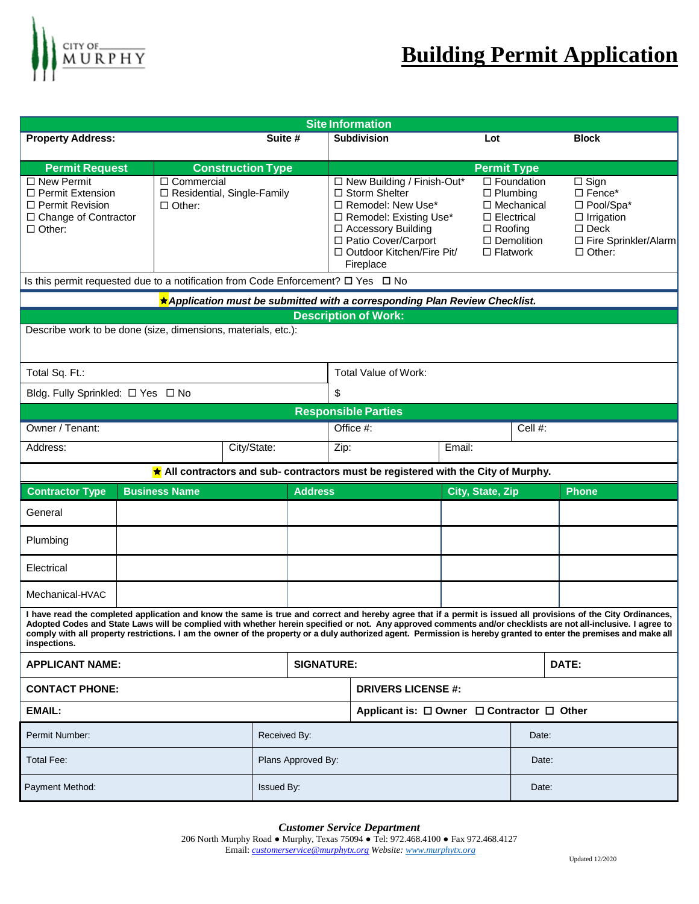

| <b>Site Information</b>                                                                                                                                                                                                                                                                                                                                                                                                                                                                                              |                                                               |                     |                                                                                                                                                                                                      |                                            |                                   |                                                                                                |                                                                                                                                          |  |
|----------------------------------------------------------------------------------------------------------------------------------------------------------------------------------------------------------------------------------------------------------------------------------------------------------------------------------------------------------------------------------------------------------------------------------------------------------------------------------------------------------------------|---------------------------------------------------------------|---------------------|------------------------------------------------------------------------------------------------------------------------------------------------------------------------------------------------------|--------------------------------------------|-----------------------------------|------------------------------------------------------------------------------------------------|------------------------------------------------------------------------------------------------------------------------------------------|--|
| <b>Property Address:</b>                                                                                                                                                                                                                                                                                                                                                                                                                                                                                             | Suite #                                                       |                     |                                                                                                                                                                                                      | <b>Subdivision</b><br>Lot                  |                                   |                                                                                                | <b>Block</b>                                                                                                                             |  |
|                                                                                                                                                                                                                                                                                                                                                                                                                                                                                                                      | <b>Construction Type</b>                                      |                     | <b>Permit Type</b>                                                                                                                                                                                   |                                            |                                   |                                                                                                |                                                                                                                                          |  |
| <b>Permit Request</b><br>$\Box$ New Permit<br>$\Box$ Permit Extension<br>$\Box$ Permit Revision<br>$\Box$ Change of Contractor<br>$\Box$ Other:                                                                                                                                                                                                                                                                                                                                                                      | □ Commercial<br>□ Residential, Single-Family<br>$\Box$ Other: |                     | □ New Building / Finish-Out*<br>$\Box$ Storm Shelter<br>□ Remodel: New Use*<br>□ Remodel: Existing Use*<br>□ Accessory Building<br>□ Patio Cover/Carport<br>□ Outdoor Kitchen/Fire Pit/<br>Fireplace |                                            | $\Box$ Roofing<br>$\Box$ Flatwork | $\Box$ Foundation<br>$\Box$ Plumbing<br>□ Mechanical<br>$\Box$ Electrical<br>$\Box$ Demolition | $\overline{\Box}$ Sign<br>$\Box$ Fence*<br>□ Pool/Spa*<br>$\Box$ Irrigation<br>$\square$ Deck<br>□ Fire Sprinkler/Alarm<br>$\Box$ Other: |  |
| Is this permit requested due to a notification from Code Enforcement? $\square$ Yes $\square$ No                                                                                                                                                                                                                                                                                                                                                                                                                     |                                                               |                     |                                                                                                                                                                                                      |                                            |                                   |                                                                                                |                                                                                                                                          |  |
| ★ Application must be submitted with a corresponding Plan Review Checklist.                                                                                                                                                                                                                                                                                                                                                                                                                                          |                                                               |                     |                                                                                                                                                                                                      |                                            |                                   |                                                                                                |                                                                                                                                          |  |
| <b>Description of Work:</b>                                                                                                                                                                                                                                                                                                                                                                                                                                                                                          |                                                               |                     |                                                                                                                                                                                                      |                                            |                                   |                                                                                                |                                                                                                                                          |  |
| Describe work to be done (size, dimensions, materials, etc.):                                                                                                                                                                                                                                                                                                                                                                                                                                                        |                                                               |                     |                                                                                                                                                                                                      |                                            |                                   |                                                                                                |                                                                                                                                          |  |
| Total Sq. Ft.:                                                                                                                                                                                                                                                                                                                                                                                                                                                                                                       |                                                               |                     | Total Value of Work:                                                                                                                                                                                 |                                            |                                   |                                                                                                |                                                                                                                                          |  |
| Bldg. Fully Sprinkled: □ Yes □ No                                                                                                                                                                                                                                                                                                                                                                                                                                                                                    |                                                               |                     | \$                                                                                                                                                                                                   |                                            |                                   |                                                                                                |                                                                                                                                          |  |
| <b>Responsible Parties</b>                                                                                                                                                                                                                                                                                                                                                                                                                                                                                           |                                                               |                     |                                                                                                                                                                                                      |                                            |                                   |                                                                                                |                                                                                                                                          |  |
| Owner / Tenant:                                                                                                                                                                                                                                                                                                                                                                                                                                                                                                      |                                                               |                     | Cell #:<br>Office #:                                                                                                                                                                                 |                                            |                                   |                                                                                                |                                                                                                                                          |  |
| Address:                                                                                                                                                                                                                                                                                                                                                                                                                                                                                                             | City/State:                                                   |                     | Zip:                                                                                                                                                                                                 |                                            | Email:                            |                                                                                                |                                                                                                                                          |  |
| All contractors and sub- contractors must be registered with the City of Murphy.                                                                                                                                                                                                                                                                                                                                                                                                                                     |                                                               |                     |                                                                                                                                                                                                      |                                            |                                   |                                                                                                |                                                                                                                                          |  |
| <b>Contractor Type</b>                                                                                                                                                                                                                                                                                                                                                                                                                                                                                               | <b>Business Name</b>                                          |                     | <b>Address</b>                                                                                                                                                                                       |                                            | City, State, Zip                  |                                                                                                | <b>Phone</b>                                                                                                                             |  |
| General                                                                                                                                                                                                                                                                                                                                                                                                                                                                                                              |                                                               |                     |                                                                                                                                                                                                      |                                            |                                   |                                                                                                |                                                                                                                                          |  |
| Plumbing                                                                                                                                                                                                                                                                                                                                                                                                                                                                                                             |                                                               |                     |                                                                                                                                                                                                      |                                            |                                   |                                                                                                |                                                                                                                                          |  |
| Electrical                                                                                                                                                                                                                                                                                                                                                                                                                                                                                                           |                                                               |                     |                                                                                                                                                                                                      |                                            |                                   |                                                                                                |                                                                                                                                          |  |
| Mechanical-HVAC                                                                                                                                                                                                                                                                                                                                                                                                                                                                                                      |                                                               |                     |                                                                                                                                                                                                      |                                            |                                   |                                                                                                |                                                                                                                                          |  |
| I have read the completed application and know the same is true and correct and hereby agree that if a permit is issued all provisions of the City Ordinances,<br>Adopted Codes and State Laws will be complied with whether herein specified or not. Any approved comments and/or checklists are not all-inclusive. I agree to<br>comply with all property restrictions. I am the owner of the property or a duly authorized agent. Permission is hereby granted to enter the premises and make all<br>inspections. |                                                               |                     |                                                                                                                                                                                                      |                                            |                                   |                                                                                                |                                                                                                                                          |  |
| <b>APPLICANT NAME:</b>                                                                                                                                                                                                                                                                                                                                                                                                                                                                                               |                                                               |                     | <b>SIGNATURE:</b>                                                                                                                                                                                    |                                            |                                   |                                                                                                | DATE:                                                                                                                                    |  |
| <b>CONTACT PHONE:</b>                                                                                                                                                                                                                                                                                                                                                                                                                                                                                                |                                                               |                     | <b>DRIVERS LICENSE #:</b>                                                                                                                                                                            |                                            |                                   |                                                                                                |                                                                                                                                          |  |
| <b>EMAIL:</b>                                                                                                                                                                                                                                                                                                                                                                                                                                                                                                        |                                                               |                     |                                                                                                                                                                                                      | Applicant is: □ Owner □ Contractor □ Other |                                   |                                                                                                |                                                                                                                                          |  |
| Permit Number:                                                                                                                                                                                                                                                                                                                                                                                                                                                                                                       |                                                               | Received By:        |                                                                                                                                                                                                      |                                            |                                   | Date:                                                                                          |                                                                                                                                          |  |
| <b>Total Fee:</b>                                                                                                                                                                                                                                                                                                                                                                                                                                                                                                    |                                                               |                     | Plans Approved By:                                                                                                                                                                                   |                                            |                                   | Date:                                                                                          |                                                                                                                                          |  |
| Payment Method:                                                                                                                                                                                                                                                                                                                                                                                                                                                                                                      |                                                               | Issued By:<br>Date: |                                                                                                                                                                                                      |                                            |                                   |                                                                                                |                                                                                                                                          |  |